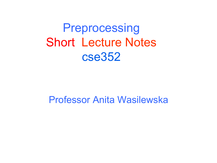**Preprocessing** Short Lecture Notes cse352

Professor Anita Wasilewska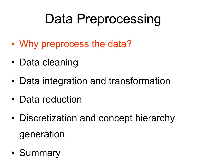# Data Preprocessing

- Why preprocess the data?
- Data cleaning
- Data integration and transformation
- Data reduction
- Discretization and concept hierarchy generation
- Summary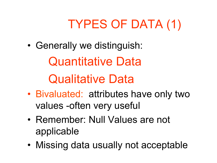# TYPES OF DATA (1)

• Generally we distinguish:

Quantitative Data

Qualitative Data

- Bivaluated: attributes have only two values -often very useful
- Remember: Null Values are not applicable
- Missing data usually not acceptable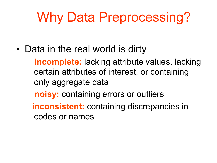# Why Data Preprocessing?

• Data in the real world is dirty

 **incomplete:** lacking attribute values, lacking certain attributes of interest, or containing only aggregate data

**noisy:** containing errors or outliers

 **inconsistent:** containing discrepancies in codes or names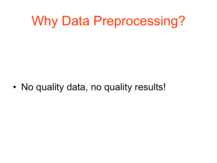# Why Data Preprocessing?

• No quality data, no quality results!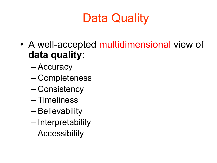# Data Quality

- A well-accepted multidimensional view of **data quality**:
	- Accuracy
	- Completeness
	- Consistency
	- Timeliness
	- Believability
	- Interpretability
	- Accessibility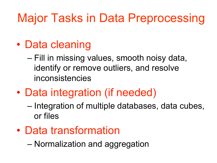## Major Tasks in Data Preprocessing

- Data cleaning
	- Fill in missing values, smooth noisy data, identify or remove outliers, and resolve inconsistencies
- Data integration (if needed)
	- Integration of multiple databases, data cubes, or files
- Data transformation

– Normalization and aggregation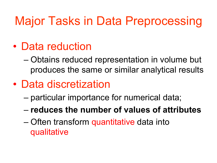## Major Tasks in Data Preprocessing

- Data reduction
	- Obtains reduced representation in volume but produces the same or similar analytical results
- Data discretization
	- particular importance for numerical data;
	- **reduces the number of values of attributes**
	- Often transform quantitative data into qualitative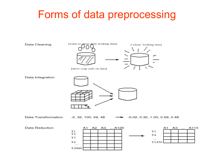### Forms of data preprocessing

Data Cleaning



Data Transformation

 $-2, 32, 100, 59, 48$ 

 $-0.02, 0.32, 1.00, 0.59, 0.48$ 



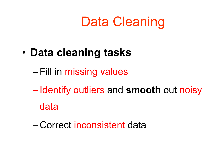# Data Cleaning

- **Data cleaning tasks** 
	- –Fill in missing values
	- Identify outliers and **smooth** out noisy data
	- Correct inconsistent data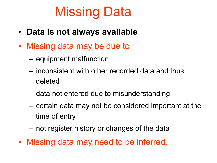# Missing Data

- **Data is not always available**
- Missing data may be due to
	- equipment malfunction
	- inconsistent with other recorded data and thus deleted
	- data not entered due to misunderstanding
	- certain data may not be considered important at the time of entry
	- not register history or changes of the data
- Missing data may need to be inferred.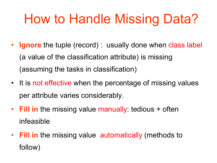# How to Handle Missing Data?

- **Ignore** the tuple (record) : usually done when class label (a value of the classification attribute) is missing (assuming the tasks in classification)
- It is not effective when the percentage of missing values per attribute varies considerably.
- **Fill in** the missing value manually: tedious + often infeasible
- **Fill in** the missing value automatically (methods to follow)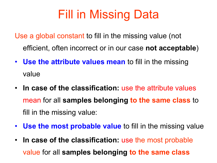## Fill in Missing Data

Use a global constant to fill in the missing value (not efficient, often incorrect or in our case **not acceptable**)

- **Use the attribute values mean** to fill in the missing value
- **In case of the classification:** use the attribute values mean for all **samples belonging to the same class** to fill in the missing value:
- **Use the most probable value** to fill in the missing value
- **In case of the classification:** use the most probable value for all **samples belonging to the same class**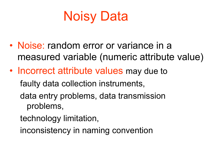# Noisy Data

- Noise: random error or variance in a measured variable (numeric attribute value)
- Incorrect attribute values may due to faulty data collection instruments, data entry problems, data transmission problems,
	- technology limitation,
	- inconsistency in naming convention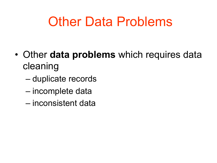# Other Data Problems

- Other **data problems** which requires data cleaning
	- duplicate records
	- incomplete data
	- inconsistent data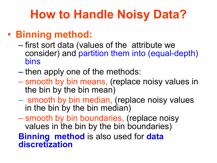## **How to Handle Noisy Data?**

### • **Binning method:**

- first sort data (values of the attribute we consider) and partition them into (equal-depth) bins
- then apply one of the methods:
- smooth by bin means, (replace noisy values in the bin by the bin mean)
- smooth by bin median, (replace noisy values in the bin by the bin median)
- smooth by bin boundaries, (replace noisy values in the bin by the bin boundaries)

#### **Binning method** is also used for **data discretization**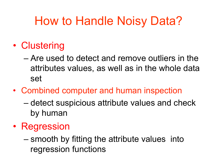## How to Handle Noisy Data?

- Clustering
	- Are used to detect and remove outliers in the attributes values, as well as in the whole data set
- Combined computer and human inspection
	- detect suspicious attribute values and check by human
- Regression
	- smooth by fitting the attribute values into regression functions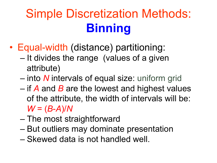# Simple Discretization Methods: **Binning**

- Equal-width (distance) partitioning:
	- It divides the range (values of a given attribute)
	- into *N* intervals of equal size: uniform grid
	- if *A* and *B* are the lowest and highest values of the attribute, the width of intervals will be: *W* = (*B*-*A*)/*N*
	- The most straightforward
	- But outliers may dominate presentation
	- Skewed data is not handled well.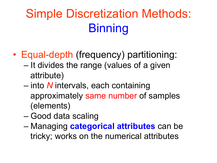# Simple Discretization Methods: **Binning**

- Equal-depth (frequency) partitioning:
	- It divides the range (values of a given attribute)
	- into *N* intervals, each containing approximately same number of samples (elements)
	- Good data scaling
	- Managing **categorical attributes** can be tricky; works on the numerical attributes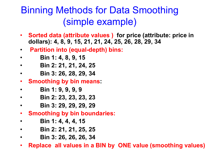### Binning Methods for Data Smoothing (simple example)

- **Sorted data (attribute values ) for price (attribute: price in dollars): 4, 8, 9, 15, 21, 21, 24, 25, 26, 28, 29, 34**
- **Partition into (equal-depth) bins:**
- • **Bin 1: 4, 8, 9, 15**
- • **Bin 2: 21, 21, 24, 25**
- • **Bin 3: 26, 28, 29, 34**
- **Smoothing by bin means:**
- • **Bin 1: 9, 9, 9, 9**
- • **Bin 2: 23, 23, 23, 23**
- • **Bin 3: 29, 29, 29, 29**
- **Smoothing by bin boundaries:**
- • **Bin 1: 4, 4, 4, 15**
- • **Bin 2: 21, 21, 25, 25**
- • **Bin 3: 26, 26, 26, 34**
- **Replace all values in a BIN by ONE value (smoothing values)**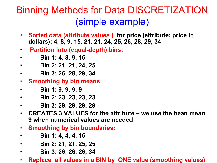### Binning Methods for Data DISCRETIZATION (simple example)

- **Sorted data (attribute values ) for price (attribute: price in dollars): 4, 8, 9, 15, 21, 21, 24, 25, 26, 28, 29, 34**
- **Partition into (equal-depth) bins:**
- • **Bin 1: 4, 8, 9, 15**
- • **Bin 2: 21, 21, 24, 25**
- • **Bin 3: 26, 28, 29, 34**
- **Smoothing by bin means:**
- • **Bin 1: 9, 9, 9, 9**
- • **Bin 2: 23, 23, 23, 23**
- • **Bin 3: 29, 29, 29, 29**
- **CREATES 3 VALUES for the attribute we use the bean mean 9 when numerical values are needed**
- **Smoothing by bin boundaries:**
- • **Bin 1: 4, 4, 4, 15**
- • **Bin 2: 21, 21, 25, 25**
- • **Bin 3: 26, 26, 26, 34**
- **Replace all values in a BIN by ONE value (smoothing values)**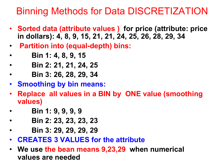### Binning Methods for Data DISCRETIZATION

- **Sorted data (attribute values ) for price (attribute: price in dollars): 4, 8, 9, 15, 21, 21, 24, 25, 26, 28, 29, 34**
- **Partition into (equal-depth) bins:**
- • **Bin 1: 4, 8, 9, 15**
- • **Bin 2: 21, 21, 24, 25**
- • **Bin 3: 26, 28, 29, 34**
- **Smoothing by bin means:**
- **Replace all values in a BIN by ONE value (smoothing values)**
- • **Bin 1: 9, 9, 9, 9**
- • **Bin 2: 23, 23, 23, 23**
- • **Bin 3: 29, 29, 29, 29**
- **CREATES 3 VALUES for the attribute**
- **We use the bean means 9,23,29 when numerical values are needed**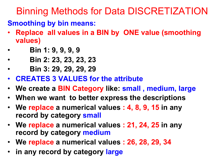### Binning Methods for Data DISCRETIZATION

#### **Smoothing by bin means:**

- **Replace all values in a BIN by ONE value (smoothing values)**
- • **Bin 1: 9, 9, 9, 9**
- • **Bin 2: 23, 23, 23, 23**
- • **Bin 3: 29, 29, 29, 29**
- **CREATES 3 VALUES for the attribute**
- **We create a BIN Category like: small , medium, large**
- **When we want to better express the descriptions**
- **We replace a numerical values : 4, 8, 9, 15 in any record by category small**
- **We replace a numerical values : 21, 24, 25 in any record by category medium**
- **We replace a numerical values : 26, 28, 29, 34**
- **in any record by category large**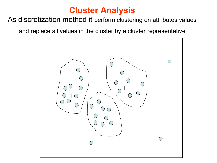#### **Cluster Analysis**

#### As discretization method it perform clustering on attributes values

and replace all values in the cluster by a cluster representative

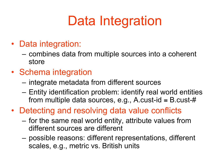# Data Integration

- Data integration:
	- combines data from multiple sources into a coherent store
- Schema integration
	- integrate metadata from different sources
	- Entity identification problem: identify real world entities from multiple data sources, e.g., A.cust-id  $=$  B.cust-#
- Detecting and resolving data value conflicts
	- for the same real world entity, attribute values from different sources are different
	- possible reasons: different representations, different scales, e.g., metric vs. British units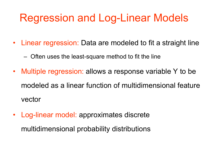### Regression and Log-Linear Models

- Linear regression: Data are modeled to fit a straight line
	- Often uses the least-square method to fit the line
- Multiple regression: allows a response variable Y to be modeled as a linear function of multidimensional feature vector
- Log-linear model: approximates discrete multidimensional probability distributions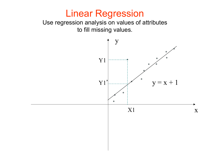### Linear Regression

Use regression analysis on values of attributes to fill missing values.

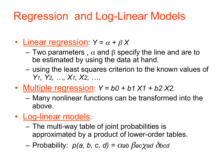## Regression and Log-Linear Models

- Linear regression:  $Y = \alpha + \beta X$ 
	- Two parameters,  $\alpha$  and β specify the line and are to be estimated by using the data at hand.
	- using the least squares criterion to the known values of *Y1, Y2, …, X1, X2, ….*
- Multiple regression: *Y = b0 + b1 X1 + b2 X2.*
	- Many nonlinear functions can be transformed into the above.
- Log-linear models:
	- The multi-way table of joint probabilities is approximated by a product of lower-order tables.
	- $-$  Probability:  $p(a, b, c, d) = \alpha a b \beta a c \chi a d \delta b c d$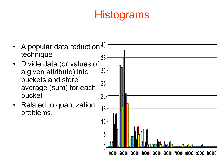## **Histograms**

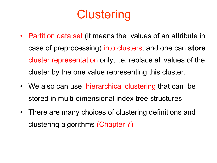## **Clustering**

- Partition data set (it means the values of an attribute in case of preprocessing) into clusters, and one can **store**  cluster representation only, i.e. replace all values of the cluster by the one value representing this cluster.
- We also can use hierarchical clustering that can be stored in multi-dimensional index tree structures
- There are many choices of clustering definitions and clustering algorithms (Chapter 7)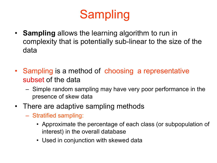# **Sampling**

- **Sampling** allows the learning algorithm to run in complexity that is potentially sub-linear to the size of the data
- Sampling is a method of choosing a representative subset of the data
	- Simple random sampling may have very poor performance in the presence of skew data
- There are adaptive sampling methods
	- Stratified sampling:
		- Approximate the percentage of each class (or subpopulation of interest) in the overall database
		- Used in conjunction with skewed data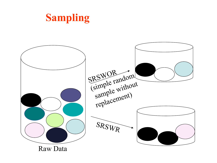

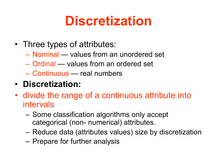# **Discretization**

- Three types of attributes:
	- Nominal values from an unordered set
	- Ordinal values from an ordered set
	- Continuous real numbers
- **Discretization:**
- divide the range of a continuous attribute into intervals
	- Some classification algorithms only accept categorical (non- numerical) attributes.
	- Reduce data (attributes values) size by discretization
	- Prepare for further analysis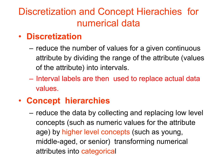### Discretization and Concept Hierachies for numerical data

#### • **Discretization**

- reduce the number of values for a given continuous attribute by dividing the range of the attribute (values of the attribute) into intervals.
- Interval labels are then used to replace actual data values.

#### • **Concept hierarchies**

– reduce the data by collecting and replacing low level concepts (such as numeric values for the attribute age) by higher level concepts (such as young, middle-aged, or senior) transforming numerical attributes into categorical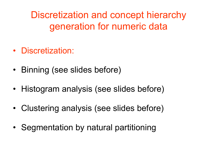Discretization and concept hierarchy generation for numeric data

- Discretization:
- Binning (see slides before)
- Histogram analysis (see slides before)
- Clustering analysis (see slides before)
- Segmentation by natural partitioning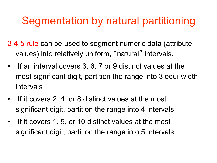## Segmentation by natural partitioning

3-4-5 rule can be used to segment numeric data (attribute values) into relatively uniform, "natural" intervals.

- If an interval covers 3, 6, 7 or 9 distinct values at the most significant digit, partition the range into 3 equi-width intervals
- If it covers 2, 4, or 8 distinct values at the most significant digit, partition the range into 4 intervals
- If it covers 1, 5, or 10 distinct values at the most significant digit, partition the range into 5 intervals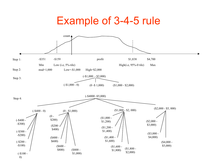### Example of 3-4-5 rule

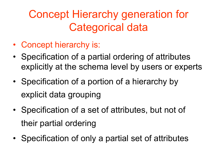## Concept Hierarchy generation for Categorical data

- Concept hierarchy is:
- Specification of a partial ordering of attributes explicitly at the schema level by users or experts
- Specification of a portion of a hierarchy by explicit data grouping
- Specification of a set of attributes, but not of their partial ordering
- Specification of only a partial set of attributes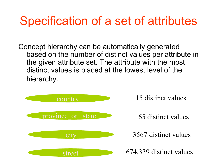## Specification of a set of attributes

Concept hierarchy can be automatically generated based on the number of distinct values per attribute in the given attribute set. The attribute with the most distinct values is placed at the lowest level of the hierarchy.



15 distinct values

65 distinct values

3567 distinct values

674,339 distinct values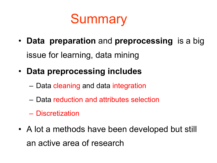Summary

- **Data preparation** and **preprocessing** is a big issue for learning, data mining
- **Data preprocessing includes** 
	- Data cleaning and data integration
	- Data reduction and attributes selection
	- Discretization
- A lot a methods have been developed but still an active area of research